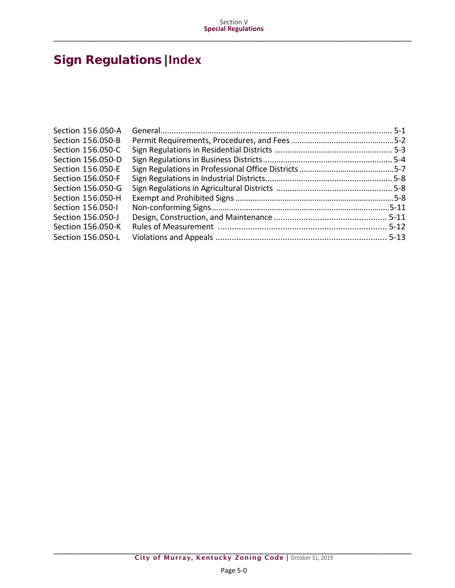# Sign Regulations|Index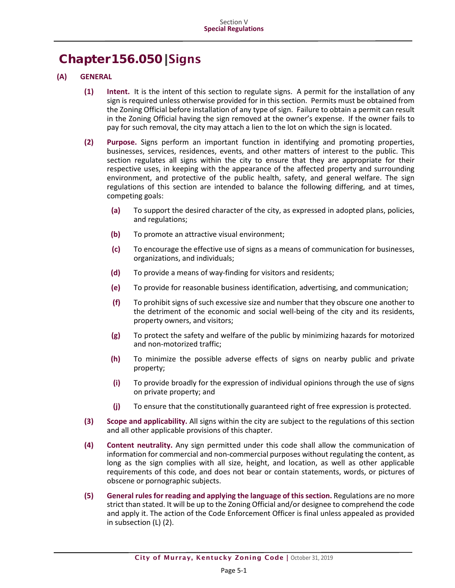## Chapter156.050|Signs

- **(A) GENERAL**
	- **(1) Intent.** It is the intent of this section to regulate signs. A permit for the installation of any sign is required unless otherwise provided for in this section. Permits must be obtained from the Zoning Official before installation of any type of sign. Failure to obtain a permit can result in the Zoning Official having the sign removed at the owner's expense. If the owner fails to pay for such removal, the city may attach a lien to the lot on which the sign is located.
	- **(2) Purpose.** Signs perform an important function in identifying and promoting properties, businesses, services, residences, events, and other matters of interest to the public. This section regulates all signs within the city to ensure that they are appropriate for their respective uses, in keeping with the appearance of the affected property and surrounding environment, and protective of the public health, safety, and general welfare. The sign regulations of this section are intended to balance the following differing, and at times, competing goals:
		- **(a)** To support the desired character of the city, as expressed in adopted plans, policies, and regulations;
		- **(b)** To promote an attractive visual environment;
		- **(c)** To encourage the effective use of signs as a means of communication for businesses, organizations, and individuals;
		- **(d)** To provide a means of way-finding for visitors and residents;
		- **(e)** To provide for reasonable business identification, advertising, and communication;
		- **(f)** To prohibit signs of such excessive size and number that they obscure one another to the detriment of the economic and social well-being of the city and its residents, property owners, and visitors;
		- **(g)** To protect the safety and welfare of the public by minimizing hazards for motorized and non-motorized traffic;
		- **(h)** To minimize the possible adverse effects of signs on nearby public and private property;
		- **(i)** To provide broadly for the expression of individual opinions through the use of signs on private property; and
		- **(j)** To ensure that the constitutionally guaranteed right of free expression is protected.
	- **(3) Scope and applicability.** All signs within the city are subject to the regulations of this section and all other applicable provisions of this chapter.
	- **(4) Content neutrality.** Any sign permitted under this code shall allow the communication of information for commercial and non-commercial purposes without regulating the content, as long as the sign complies with all size, height, and location, as well as other applicable requirements of this code, and does not bear or contain statements, words, or pictures of obscene or pornographic subjects.
	- **(5) General rules for reading and applying the language of this section.** Regulations are no more strict than stated. It will be up to the Zoning Official and/or designee to comprehend the code and apply it. The action of the Code Enforcement Officer is final unless appealed as provided in subsection (L) (2).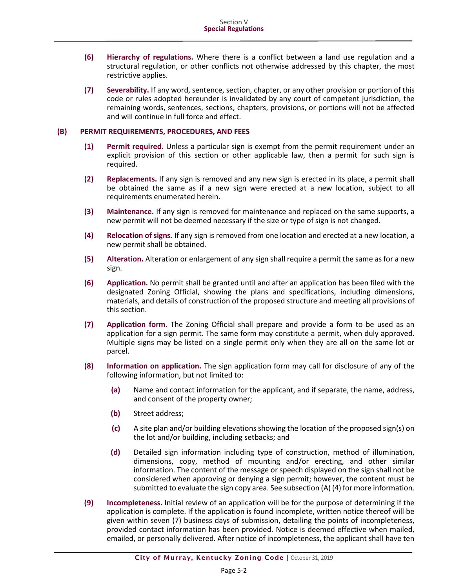- **(6) Hierarchy of regulations.** Where there is a conflict between a land use regulation and a structural regulation, or other conflicts not otherwise addressed by this chapter, the most restrictive applies.
- **(7) Severability.** If any word, sentence, section, chapter, or any other provision or portion of this code or rules adopted hereunder is invalidated by any court of competent jurisdiction, the remaining words, sentences, sections, chapters, provisions, or portions will not be affected and will continue in full force and effect.

#### **(B) PERMIT REQUIREMENTS, PROCEDURES, AND FEES**

- **(1) Permit required.** Unless a particular sign is exempt from the permit requirement under an explicit provision of this section or other applicable law, then a permit for such sign is required.
- **(2) Replacements.** If any sign is removed and any new sign is erected in its place, a permit shall be obtained the same as if a new sign were erected at a new location, subject to all requirements enumerated herein.
- **(3) Maintenance.** If any sign is removed for maintenance and replaced on the same supports, a new permit will not be deemed necessary if the size or type of sign is not changed.
- **(4) Relocation of signs.** If any sign is removed from one location and erected at a new location, a new permit shall be obtained.
- **(5) Alteration.** Alteration or enlargement of any sign shall require a permit the same as for a new sign.
- **(6) Application.** No permit shall be granted until and after an application has been filed with the designated Zoning Official, showing the plans and specifications, including dimensions, materials, and details of construction of the proposed structure and meeting all provisions of this section.
- **(7) Application form.** The Zoning Official shall prepare and provide a form to be used as an application for a sign permit. The same form may constitute a permit, when duly approved. Multiple signs may be listed on a single permit only when they are all on the same lot or parcel.
- **(8) Information on application.** The sign application form may call for disclosure of any of the following information, but not limited to:
	- **(a)** Name and contact information for the applicant, and if separate, the name, address, and consent of the property owner;
	- **(b)** Street address;
	- **(c)** A site plan and/or building elevations showing the location of the proposed sign(s) on the lot and/or building, including setbacks; and
	- **(d)** Detailed sign information including type of construction, method of illumination, dimensions, copy, method of mounting and/or erecting, and other similar information. The content of the message or speech displayed on the sign shall not be considered when approving or denying a sign permit; however, the content must be submitted to evaluate the sign copy area. See subsection (A) (4) for more information.
- **(9) Incompleteness.** Initial review of an application will be for the purpose of determining if the application is complete. If the application is found incomplete, written notice thereof will be given within seven (7) business days of submission, detailing the points of incompleteness, provided contact information has been provided. Notice is deemed effective when mailed, emailed, or personally delivered. After notice of incompleteness, the applicant shall have ten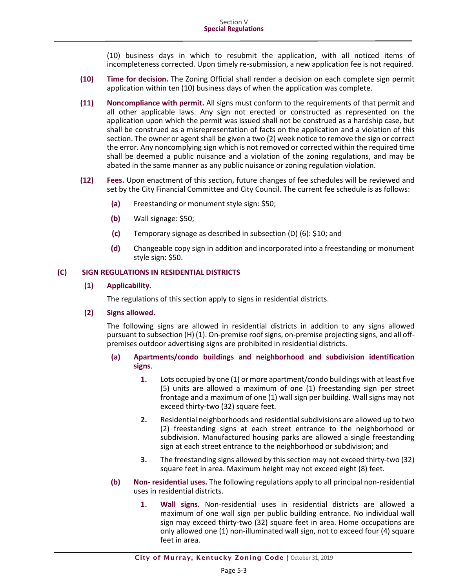(10) business days in which to resubmit the application, with all noticed items of incompleteness corrected. Upon timely re-submission, a new application fee is not required.

- **(10) Time for decision.** The Zoning Official shall render a decision on each complete sign permit application within ten (10) business days of when the application was complete.
- **(11) Noncompliance with permit.** All signs must conform to the requirements of that permit and all other applicable laws. Any sign not erected or constructed as represented on the application upon which the permit was issued shall not be construed as a hardship case, but shall be construed as a misrepresentation of facts on the application and a violation of this section. The owner or agent shall be given a two (2) week notice to remove the sign or correct the error. Any noncomplying sign which is not removed or corrected within the required time shall be deemed a public nuisance and a violation of the zoning regulations, and may be abated in the same manner as any public nuisance or zoning regulation violation.
- **(12) Fees.** Upon enactment of this section, future changes of fee schedules will be reviewed and set by the City Financial Committee and City Council. The current fee schedule is as follows:
	- **(a)** Freestanding or monument style sign: \$50;
	- **(b)** Wall signage: \$50;
	- **(c)** Temporary signage as described in subsection (D) (6): \$10; and
	- **(d)** Changeable copy sign in addition and incorporated into a freestanding or monument style sign: \$50.

#### **(C) SIGN REGULATIONS IN RESIDENTIAL DISTRICTS**

## **(1) Applicability.**

The regulations of this section apply to signs in residential districts.

#### **(2) Signs allowed.**

The following signs are allowed in residential districts in addition to any signs allowed pursuant to subsection (H) (1). On-premise roof signs, on-premise projecting signs, and all offpremises outdoor advertising signs are prohibited in residential districts.

- **(a) Apartments/condo buildings and neighborhood and subdivision identification signs**.
	- **1.** Lots occupied by one (1) or more apartment/condo buildings with at least five (5) units are allowed a maximum of one (1) freestanding sign per street frontage and a maximum of one (1) wall sign per building. Wall signs may not exceed thirty-two (32) square feet.
	- **2.** Residential neighborhoods and residential subdivisions are allowed up to two (2) freestanding signs at each street entrance to the neighborhood or subdivision. Manufactured housing parks are allowed a single freestanding sign at each street entrance to the neighborhood or subdivision; and
	- **3.** The freestanding signs allowed by this section may not exceed thirty-two (32) square feet in area. Maximum height may not exceed eight (8) feet.
- **(b) Non- residential uses.** The following regulations apply to all principal non-residential uses in residential districts.
	- **1. Wall signs.** Non-residential uses in residential districts are allowed a maximum of one wall sign per public building entrance. No individual wall sign may exceed thirty-two (32) square feet in area. Home occupations are only allowed one (1) non-illuminated wall sign, not to exceed four (4) square feet in area.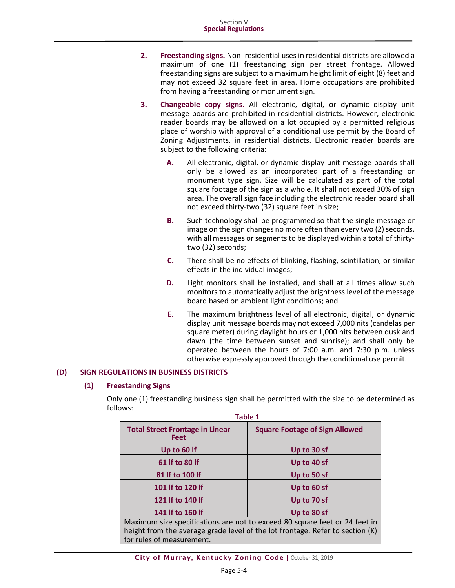- **2. Freestanding signs.** Non- residential uses in residential districts are allowed a maximum of one (1) freestanding sign per street frontage. Allowed freestanding signs are subject to a maximum height limit of eight (8) feet and may not exceed 32 square feet in area. Home occupations are prohibited from having a freestanding or monument sign.
- **3. Changeable copy signs.** All electronic, digital, or dynamic display unit message boards are prohibited in residential districts. However, electronic reader boards may be allowed on a lot occupied by a permitted religious place of worship with approval of a conditional use permit by the Board of Zoning Adjustments, in residential districts. Electronic reader boards are subject to the following criteria:
	- **A.** All electronic, digital, or dynamic display unit message boards shall only be allowed as an incorporated part of a freestanding or monument type sign. Size will be calculated as part of the total square footage of the sign as a whole. It shall not exceed 30% of sign area. The overall sign face including the electronic reader board shall not exceed thirty-two (32) square feet in size;
	- **B.** Such technology shall be programmed so that the single message or image on the sign changes no more often than every two (2) seconds, with all messages or segments to be displayed within a total of thirtytwo (32) seconds;
	- **C.** There shall be no effects of blinking, flashing, scintillation, or similar effects in the individual images;
	- **D.** Light monitors shall be installed, and shall at all times allow such monitors to automatically adjust the brightness level of the message board based on ambient light conditions; and
	- **E.** The maximum brightness level of all electronic, digital, or dynamic display unit message boards may not exceed 7,000 nits (candelas per square meter) during daylight hours or 1,000 nits between dusk and dawn (the time between sunset and sunrise); and shall only be operated between the hours of 7:00 a.m. and 7:30 p.m. unless otherwise expressly approved through the conditional use permit.

## **(D) SIGN REGULATIONS IN BUSINESS DISTRICTS**

#### **(1) Freestanding Signs**

Only one (1) freestanding business sign shall be permitted with the size to be determined as follows:

| <b>Table 1</b>                                                                                                                                                                           |                                       |  |  |
|------------------------------------------------------------------------------------------------------------------------------------------------------------------------------------------|---------------------------------------|--|--|
| <b>Total Street Frontage in Linear</b><br><b>Feet</b>                                                                                                                                    | <b>Square Footage of Sign Allowed</b> |  |  |
| Up to 60 If                                                                                                                                                                              | Up to 30 sf                           |  |  |
| 61 If to 80 If                                                                                                                                                                           | Up to 40 sf                           |  |  |
| 81 If to 100 If                                                                                                                                                                          | Up to 50 sf                           |  |  |
| 101 If to 120 If                                                                                                                                                                         | Up to 60 sf                           |  |  |
| 121 If to 140 If                                                                                                                                                                         | Up to 70 sf                           |  |  |
| 141 If to 160 If                                                                                                                                                                         | Up to 80 sf                           |  |  |
| Maximum size specifications are not to exceed 80 square feet or 24 feet in<br>height from the average grade level of the lot frontage. Refer to section (K)<br>for rules of measurement. |                                       |  |  |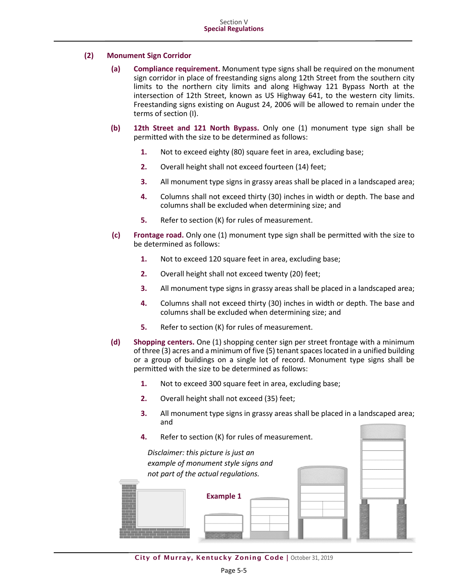## **(2) Monument Sign Corridor**

- **(a) Compliance requirement.** Monument type signs shall be required on the monument sign corridor in place of freestanding signs along 12th Street from the southern city limits to the northern city limits and along Highway 121 Bypass North at the intersection of 12th Street, known as US Highway 641, to the western city limits. Freestanding signs existing on August 24, 2006 will be allowed to remain under the terms of section (I).
- **(b) 12th Street and 121 North Bypass.** Only one (1) monument type sign shall be permitted with the size to be determined as follows:
	- **1.** Not to exceed eighty (80) square feet in area, excluding base;
	- **2.** Overall height shall not exceed fourteen (14) feet;
	- **3.** All monument type signs in grassy areas shall be placed in a landscaped area;
	- **4.** Columns shall not exceed thirty (30) inches in width or depth. The base and columns shall be excluded when determining size; and
	- **5.** Refer to section (K) for rules of measurement.
- **(c) Frontage road.** Only one (1) monument type sign shall be permitted with the size to be determined as follows:
	- **1.** Not to exceed 120 square feet in area, excluding base;
	- **2.** Overall height shall not exceed twenty (20) feet;
	- **3.** All monument type signs in grassy areas shall be placed in a landscaped area;
	- **4.** Columns shall not exceed thirty (30) inches in width or depth. The base and columns shall be excluded when determining size; and
	- **5.** Refer to section (K) for rules of measurement.
- **(d) Shopping centers.** One (1) shopping center sign per street frontage with a minimum of three (3) acres and a minimum of five (5) tenant spaces located in a unified building or a group of buildings on a single lot of record. Monument type signs shall be permitted with the size to be determined as follows:
	- **1.** Not to exceed 300 square feet in area, excluding base;
	- **2.** Overall height shall not exceed (35) feet;
	- **3.** All monument type signs in grassy areas shall be placed in a landscaped area; and



City of Murray, Kentucky Zoning Code | October 31, 2019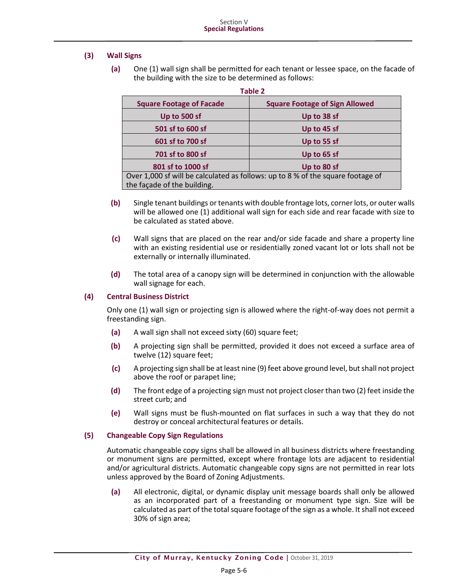## **(3) Wall Signs**

**(a)** One (1) wall sign shall be permitted for each tenant or lessee space, on the facade of the building with the size to be determined as follows:

| <b>Table 2</b>                                                                  |                                       |  |  |
|---------------------------------------------------------------------------------|---------------------------------------|--|--|
| <b>Square Footage of Facade</b>                                                 | <b>Square Footage of Sign Allowed</b> |  |  |
| Up to 500 sf                                                                    | Up to 38 sf                           |  |  |
| 501 sf to 600 sf                                                                | Up to 45 sf                           |  |  |
| 601 sf to 700 sf                                                                | Up to 55 sf                           |  |  |
| 701 sf to 800 sf                                                                | Up to 65 sf                           |  |  |
| 801 sf to 1000 sf                                                               | Up to 80 sf                           |  |  |
| Over 1,000 sf will be calculated as follows: up to 8 % of the square footage of |                                       |  |  |
| the façade of the building.                                                     |                                       |  |  |

- **(b)** Single tenant buildings or tenants with double frontage lots, corner lots, or outer walls will be allowed one (1) additional wall sign for each side and rear facade with size to be calculated as stated above.
- **(c)** Wall signs that are placed on the rear and/or side facade and share a property line with an existing residential use or residentially zoned vacant lot or lots shall not be externally or internally illuminated.
- **(d)** The total area of a canopy sign will be determined in conjunction with the allowable wall signage for each.

## **(4) Central Business District**

Only one (1) wall sign or projecting sign is allowed where the right-of-way does not permit a freestanding sign.

- **(a)** A wall sign shall not exceed sixty (60) square feet;
- **(b)** A projecting sign shall be permitted, provided it does not exceed a surface area of twelve (12) square feet;
- **(c)** A projecting sign shall be at least nine (9) feet above ground level, but shall not project above the roof or parapet line;
- **(d)** The front edge of a projecting sign must not project closer than two (2) feet inside the street curb; and
- **(e)** Wall signs must be flush-mounted on flat surfaces in such a way that they do not destroy or conceal architectural features or details.

## **(5) Changeable Copy Sign Regulations**

Automatic changeable copy signs shall be allowed in all business districts where freestanding or monument signs are permitted, except where frontage lots are adjacent to residential and/or agricultural districts. Automatic changeable copy signs are not permitted in rear lots unless approved by the Board of Zoning Adjustments.

**(a)** All electronic, digital, or dynamic display unit message boards shall only be allowed as an incorporated part of a freestanding or monument type sign. Size will be calculated as part of the total square footage of the sign as a whole. It shall not exceed 30% of sign area;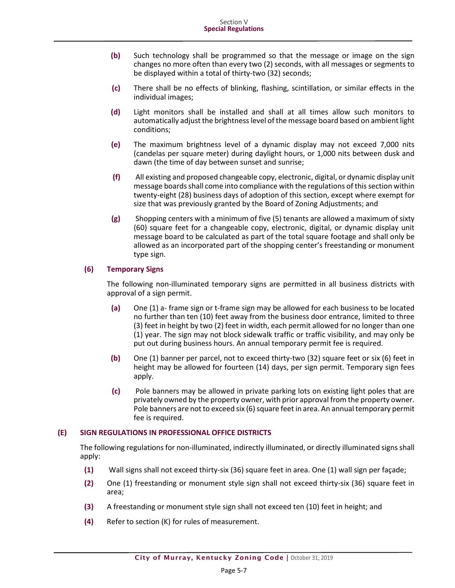- **(b)** Such technology shall be programmed so that the message or image on the sign changes no more often than every two (2) seconds, with all messages or segments to be displayed within a total of thirty-two (32) seconds;
- **(c)** There shall be no effects of blinking, flashing, scintillation, or similar effects in the individual images;
- **(d)** Light monitors shall be installed and shall at all times allow such monitors to automatically adjust the brightness level of the message board based on ambient light conditions;
- **(e)** The maximum brightness level of a dynamic display may not exceed 7,000 nits (candelas per square meter) during daylight hours, or 1,000 nits between dusk and dawn (the time of day between sunset and sunrise;
- **(f)** All existing and proposed changeable copy, electronic, digital, or dynamic display unit message boards shall come into compliance with the regulations of this section within twenty-eight (28) business days of adoption of this section, except where exempt for size that was previously granted by the Board of Zoning Adjustments; and
- **(g)** Shopping centers with a minimum of five (5) tenants are allowed a maximum of sixty (60) square feet for a changeable copy, electronic, digital, or dynamic display unit message board to be calculated as part of the total square footage and shall only be allowed as an incorporated part of the shopping center's freestanding or monument type sign.

## **(6) Temporary Signs**

The following non-illuminated temporary signs are permitted in all business districts with approval of a sign permit.

- **(a)** One (1) a- frame sign or t-frame sign may be allowed for each business to be located no further than ten (10) feet away from the business door entrance, limited to three (3) feet in height by two (2) feet in width, each permit allowed for no longer than one (1) year. The sign may not block sidewalk traffic or traffic visibility, and may only be put out during business hours. An annual temporary permit fee is required.
- **(b)** One (1) banner per parcel, not to exceed thirty-two (32) square feet or six (6) feet in height may be allowed for fourteen (14) days, per sign permit. Temporary sign fees apply.
- **(c)** Pole banners may be allowed in private parking lots on existing light poles that are privately owned by the property owner, with prior approval from the property owner. Pole banners are not to exceed six (6) square feet in area. An annual temporary permit fee is required.

## **(E) SIGN REGULATIONS IN PROFESSIONAL OFFICE DISTRICTS**

The following regulations for non-illuminated, indirectly illuminated, or directly illuminated signs shall apply:

- **(1)** Wall signs shall not exceed thirty-six (36) square feet in area. One (1) wall sign per façade;
- **(2)** One (1) freestanding or monument style sign shall not exceed thirty-six (36) square feet in area;
- **(3)** A freestanding or monument style sign shall not exceed ten (10) feet in height; and
- **(4)** Refer to section (K) for rules of measurement.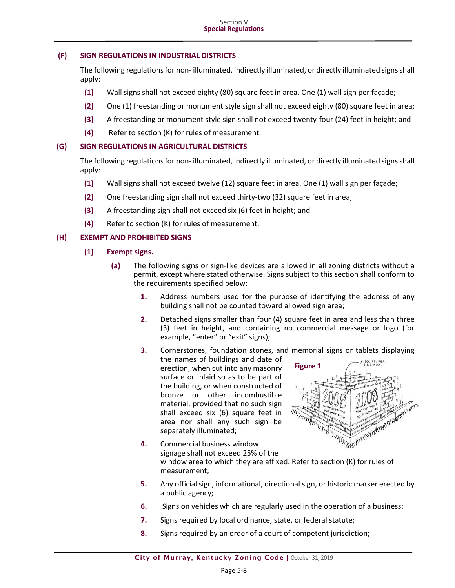## **(F) SIGN REGULATIONS IN INDUSTRIAL DISTRICTS**

The following regulations for non- illuminated, indirectly illuminated, or directly illuminated signs shall apply:

- **(1)** Wall signs shall not exceed eighty (80) square feet in area. One (1) wall sign per façade;
- **(2)** One (1) freestanding or monument style sign shall not exceed eighty (80) square feet in area;
- **(3)** A freestanding or monument style sign shall not exceed twenty-four (24) feet in height; and
- **(4)** Refer to section (K) for rules of measurement.

#### **(G) SIGN REGULATIONS IN AGRICULTURAL DISTRICTS**

The following regulations for non- illuminated, indirectly illuminated, or directly illuminated signs shall apply:

- **(1)** Wall signs shall not exceed twelve (12) square feet in area. One (1) wall sign per façade;
- **(2)** One freestanding sign shall not exceed thirty-two (32) square feet in area;
- **(3)** A freestanding sign shall not exceed six (6) feet in height; and
- **(4)** Refer to section (K) for rules of measurement.

## **(H) EXEMPT AND PROHIBITED SIGNS**

- **(1) Exempt signs.**
	- **(a)** The following signs or sign-like devices are allowed in all zoning districts without a permit, except where stated otherwise. Signs subject to this section shall conform to the requirements specified below:
		- **1.** Address numbers used for the purpose of identifying the address of any building shall not be counted toward allowed sign area;
		- **2.** Detached signs smaller than four (4) square feet in area and less than three (3) feet in height, and containing no commercial message or logo (for example, "enter" or "exit" signs);
		- **3.** Cornerstones, foundation stones, and memorial signs or tablets displaying the names of buildings and date of SQ. FT. PER **Figure 1**erection, when cut into any masonry surface or inlaid so as to be part of the building, or when constructed of bronze or other incombustible material, provided that no such sign Continued in the American Manufacture shall exceed six (6) square feet in area nor shall any such sign be separately illuminated;
		- **4.** Commercial business window signage shall not exceed 25% of the window area to which they are affixed. Refer to section (K) for rules of measurement;
		- **5.** Any official sign, informational, directional sign, or historic marker erected by a public agency;
		- **6.** Signs on vehicles which are regularly used in the operation of a business;
		- **7.** Signs required by local ordinance, state, or federal statute;
		- **8.** Signs required by an order of a court of competent jurisdiction;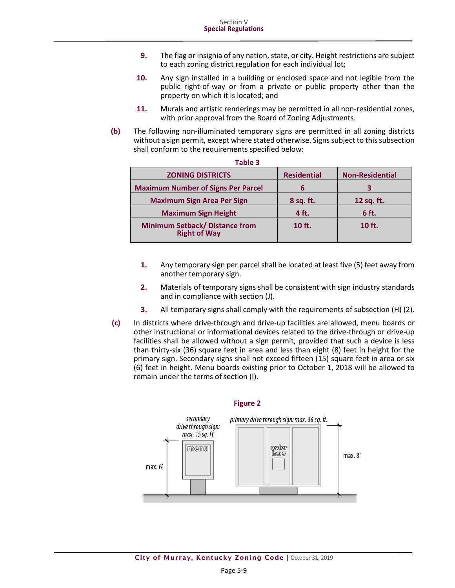- **9.** The flag or insignia of any nation, state, or city. Height restrictions are subject to each zoning district regulation for each individual lot;
- **10.** Any sign installed in a building or enclosed space and not legible from the public right-of-way or from a private or public property other than the property on which it is located; and
- **11.** Murals and artistic renderings may be permitted in all non-residential zones, with prior approval from the Board of Zoning Adjustments.
- **(b)** The following non-illuminated temporary signs are permitted in all zoning districts without a sign permit, except where stated otherwise. Signs subject to this subsection shall conform to the requirements specified below:

| Table 3                                                      |                    |                        |
|--------------------------------------------------------------|--------------------|------------------------|
| <b>ZONING DISTRICTS</b>                                      | <b>Residential</b> | <b>Non-Residential</b> |
| <b>Maximum Number of Signs Per Parcel</b>                    | b                  |                        |
| <b>Maximum Sign Area Per Sign</b>                            | 8 sq. ft.          | 12 sq. ft.             |
| <b>Maximum Sign Height</b>                                   | 4 ft.              | 6 ft.                  |
| <b>Minimum Setback/ Distance from</b><br><b>Right of Way</b> | 10 ft.             | $10$ ft.               |

- **1.** Any temporary sign per parcel shall be located at least five (5) feet away from another temporary sign.
- **2.** Materials of temporary signs shall be consistent with sign industry standards and in compliance with section (J).
- **3.** All temporary signs shall comply with the requirements of subsection (H) (2).
- **(c)** In districts where drive-through and drive-up facilities are allowed, menu boards or other instructional or informational devices related to the drive-through or drive-up facilities shall be allowed without a sign permit, provided that such a device is less than thirty-six (36) square feet in area and less than eight (8) feet in height for the primary sign. Secondary signs shall not exceed fifteen (15) square feet in area or six (6) feet in height. Menu boards existing prior to October 1, 2018 will be allowed to remain under the terms of section (I).

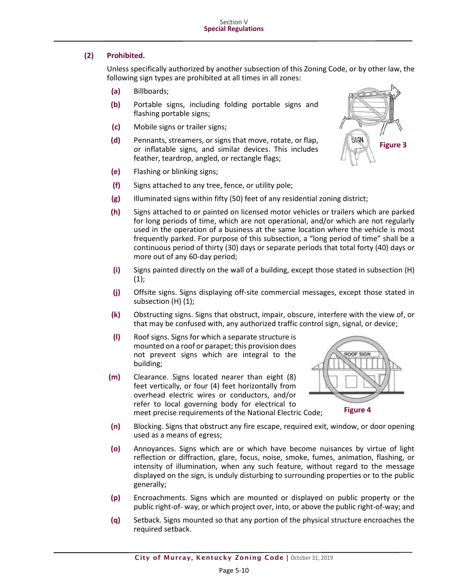## **(2) Prohibited.**

Unless specifically authorized by another subsection of this Zoning Code, or by other law, the following sign types are prohibited at all times in all zones:

- **(a)** Billboards;
- **(b)** Portable signs, including folding portable signs and flashing portable signs;
- **(c)** Mobile signs or trailer signs;
- **(d)** Pennants, streamers, or signs that move, rotate, or flap, or inflatable signs, and similar devices. This includes feather, teardrop, angled, or rectangle flags;
- **(e)** Flashing or blinking signs;
- **(f)** Signs attached to any tree, fence, or utility pole;
- **(g)** Illuminated signs within fifty (50) feet of any residential zoning district;
- **(h)** Signs attached to or painted on licensed motor vehicles or trailers which are parked for long periods of time, which are not operational, and/or which are not regularly used in the operation of a business at the same location where the vehicle is most frequently parked. For purpose of this subsection, a "long period of time" shall be a continuous period of thirty (30) days or separate periods that total forty (40) days or more out of any 60-day period;
- **(i)** Signs painted directly on the wall of a building, except those stated in subsection (H)  $(1)$ ;
- **(j)** Offsite signs. Signs displaying off-site commercial messages, except those stated in subsection (H) (1);
- **(k)** Obstructing signs. Signs that obstruct, impair, obscure, interfere with the view of, or that may be confused with, any authorized traffic control sign, signal, or device;
- **(l)** Roof signs. Signs for which a separate structure is mounted on a roof or parapet; this provision does not prevent signs which are integral to the building;
- **(m)** Clearance. Signs located nearer than eight (8) feet vertically, or four (4) feet horizontally from overhead electric wires or conductors, and/or refer to local governing body for electrical to meet precise requirements of the National Electric Code;



- **(n)** Blocking. Signs that obstruct any fire escape, required exit, window, or door opening used as a means of egress;
- **(o)** Annoyances. Signs which are or which have become nuisances by virtue of light reflection or diffraction, glare, focus, noise, smoke, fumes, animation, flashing, or intensity of illumination, when any such feature, without regard to the message displayed on the sign, is unduly disturbing to surrounding properties or to the public generally;
- **(p)** Encroachments. Signs which are mounted or displayed on public property or the public right-of- way, or which project over, into, or above the public right-of-way; and
- **(q)** Setback. Signs mounted so that any portion of the physical structure encroaches the required setback.

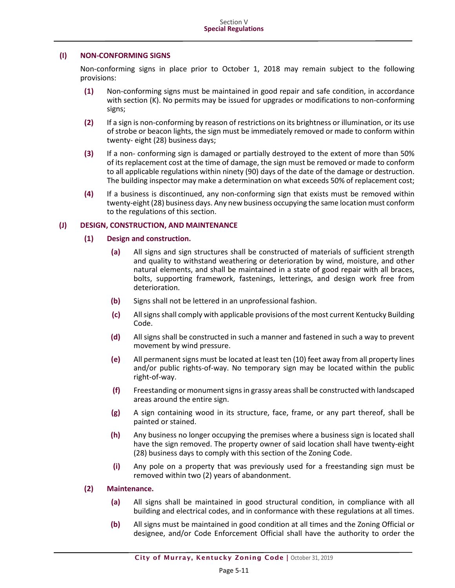#### **(I) NON-CONFORMING SIGNS**

Non-conforming signs in place prior to October 1, 2018 may remain subject to the following provisions:

- **(1)** Non-conforming signs must be maintained in good repair and safe condition, in accordance with section (K). No permits may be issued for upgrades or modifications to non-conforming signs;
- **(2)** If a sign is non-conforming by reason of restrictions on its brightness or illumination, or its use of strobe or beacon lights, the sign must be immediately removed or made to conform within twenty- eight (28) business days;
- **(3)** If a non- conforming sign is damaged or partially destroyed to the extent of more than 50% of its replacement cost at the time of damage, the sign must be removed or made to conform to all applicable regulations within ninety (90) days of the date of the damage or destruction. The building inspector may make a determination on what exceeds 50% of replacement cost;
- **(4)** If a business is discontinued, any non-conforming sign that exists must be removed within twenty-eight (28) business days. Any new business occupying the same location must conform to the regulations of this section.

#### **(J) DESIGN, CONSTRUCTION, AND MAINTENANCE**

#### **(1) Design and construction.**

- **(a)** All signs and sign structures shall be constructed of materials of sufficient strength and quality to withstand weathering or deterioration by wind, moisture, and other natural elements, and shall be maintained in a state of good repair with all braces, bolts, supporting framework, fastenings, letterings, and design work free from deterioration.
- **(b)** Signs shall not be lettered in an unprofessional fashion.
- **(c)** All signs shall comply with applicable provisions of the most current Kentucky Building Code.
- **(d)** All signs shall be constructed in such a manner and fastened in such a way to prevent movement by wind pressure.
- **(e)** All permanent signs must be located at least ten (10) feet away from all property lines and/or public rights-of-way. No temporary sign may be located within the public right-of-way.
- **(f)** Freestanding or monument signs in grassy areas shall be constructed with landscaped areas around the entire sign.
- **(g)** A sign containing wood in its structure, face, frame, or any part thereof, shall be painted or stained.
- **(h)** Any business no longer occupying the premises where a business sign is located shall have the sign removed. The property owner of said location shall have twenty-eight (28) business days to comply with this section of the Zoning Code.
- **(i)** Any pole on a property that was previously used for a freestanding sign must be removed within two (2) years of abandonment.

## **(2) Maintenance.**

- **(a)** All signs shall be maintained in good structural condition, in compliance with all building and electrical codes, and in conformance with these regulations at all times.
- **(b)** All signs must be maintained in good condition at all times and the Zoning Official or designee, and/or Code Enforcement Official shall have the authority to order the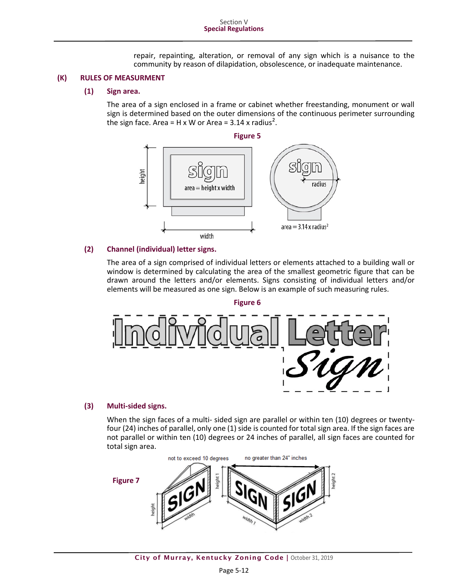repair, repainting, alteration, or removal of any sign which is a nuisance to the community by reason of dilapidation, obsolescence, or inadequate maintenance.

#### **(K) RULES OF MEASURMENT**

#### **(1) Sign area.**

The area of a sign enclosed in a frame or cabinet whether freestanding, monument or wall sign is determined based on the outer dimensions of the continuous perimeter surrounding the sign face. Area = H x W or Area =  $3.14$  x radius<sup>2</sup>.



#### **(2) Channel (individual) letter signs.**

The area of a sign comprised of individual letters or elements attached to a building wall or window is determined by calculating the area of the smallest geometric figure that can be drawn around the letters and/or elements. Signs consisting of individual letters and/or elements will be measured as one sign. Below is an example of such measuring rules.



#### **(3) Multi-sided signs.**

When the sign faces of a multi- sided sign are parallel or within ten (10) degrees or twentyfour (24) inches of parallel, only one (1) side is counted for total sign area. If the sign faces are not parallel or within ten (10) degrees or 24 inches of parallel, all sign faces are counted for total sign area.

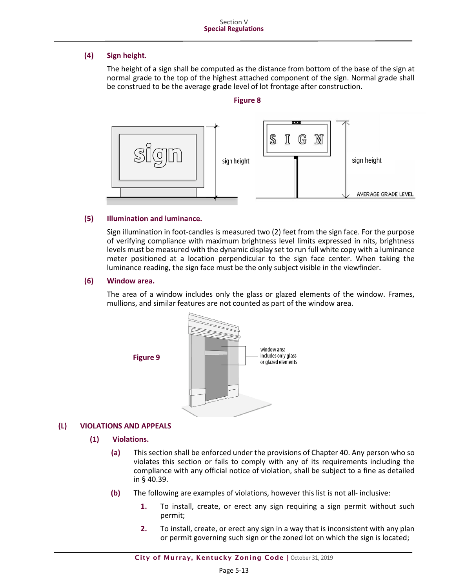## **(4) Sign height.**

The height of a sign shall be computed as the distance from bottom of the base of the sign at normal grade to the top of the highest attached component of the sign. Normal grade shall be construed to be the average grade level of lot frontage after construction.

#### **Figure 8**



## **(5) Illumination and luminance.**

Sign illumination in foot-candles is measured two (2) feet from the sign face. For the purpose of verifying compliance with maximum brightness level limits expressed in nits, brightness levels must be measured with the dynamic display set to run full white copy with a luminance meter positioned at a location perpendicular to the sign face center. When taking the luminance reading, the sign face must be the only subject visible in the viewfinder.

#### **(6) Window area.**

The area of a window includes only the glass or glazed elements of the window. Frames, mullions, and similar features are not counted as part of the window area.



## **(L) VIOLATIONS AND APPEALS**

#### **(1) Violations.**

- **(a)** This section shall be enforced under the provisions of [Chapter 40.](http://library.amlegal.com/nxt/gateway.dll?f=jumplink$jumplink_x=Advanced$jumplink_vpc=first$jumplink_xsl=querylink.xsl$jumplink_sel=title;path;content-type;home-title;item-bookmark$jumplink_d=kentucky(murray_ky)$jumplink_q=%5bfield%20folio-destination-name:%27Chapter%2040%27%5d$jumplink_md=target-id=JD_Chapter40) Any person who so violates this section or fails to comply with any of its requirements including the compliance with any official notice of violation, shall be subject to a fine as detailed in § [40.39.](http://library.amlegal.com/nxt/gateway.dll?f=jumplink$jumplink_x=Advanced$jumplink_vpc=first$jumplink_xsl=querylink.xsl$jumplink_sel=title;path;content-type;home-title;item-bookmark$jumplink_d=kentucky(murray_ky)$jumplink_q=%5bfield%20folio-destination-name:%2740.39%27%5d$jumplink_md=target-id=JD_40.39)
- **(b)** The following are examples of violations, however this list is not all- inclusive:
	- **1.** To install, create, or erect any sign requiring a sign permit without such permit;
	- **2.** To install, create, or erect any sign in a way that is inconsistent with any plan or permit governing such sign or the zoned lot on which the sign is located;